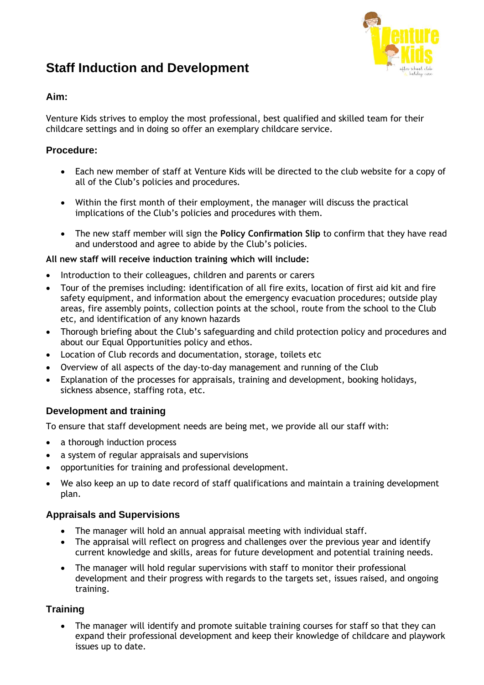# **Staff Induction and Development**



## **Aim:**

Venture Kids strives to employ the most professional, best qualified and skilled team for their childcare settings and in doing so offer an exemplary childcare service.

## **Procedure:**

- Each new member of staff at Venture Kids will be directed to the club website for a copy of all of the Club's policies and procedures.
- Within the first month of their employment, the manager will discuss the practical implications of the Club's policies and procedures with them.
- The new staff member will sign the **Policy Confirmation Slip** to confirm that they have read and understood and agree to abide by the Club's policies.

#### **All new staff will receive induction training which will include:**

- Introduction to their colleagues, children and parents or carers
- Tour of the premises including: identification of all fire exits, location of first aid kit and fire safety equipment, and information about the emergency evacuation procedures; outside play areas, fire assembly points, collection points at the school, route from the school to the Club etc, and identification of any known hazards
- Thorough briefing about the Club's safeguarding and child protection policy and procedures and about our Equal Opportunities policy and ethos.
- Location of Club records and documentation, storage, toilets etc
- Overview of all aspects of the day-to-day management and running of the Club
- Explanation of the processes for appraisals, training and development, booking holidays, sickness absence, staffing rota, etc.

## **Development and training**

To ensure that staff development needs are being met, we provide all our staff with:

- a thorough induction process
- a system of regular appraisals and supervisions
- opportunities for training and professional development.
- We also keep an up to date record of staff qualifications and maintain a training development plan.

## **Appraisals and Supervisions**

- The manager will hold an annual appraisal meeting with individual staff.
- The appraisal will reflect on progress and challenges over the previous year and identify current knowledge and skills, areas for future development and potential training needs.
- The manager will hold regular supervisions with staff to monitor their professional development and their progress with regards to the targets set, issues raised, and ongoing training.

# **Training**

• The manager will identify and promote suitable training courses for staff so that they can expand their professional development and keep their knowledge of childcare and playwork issues up to date.